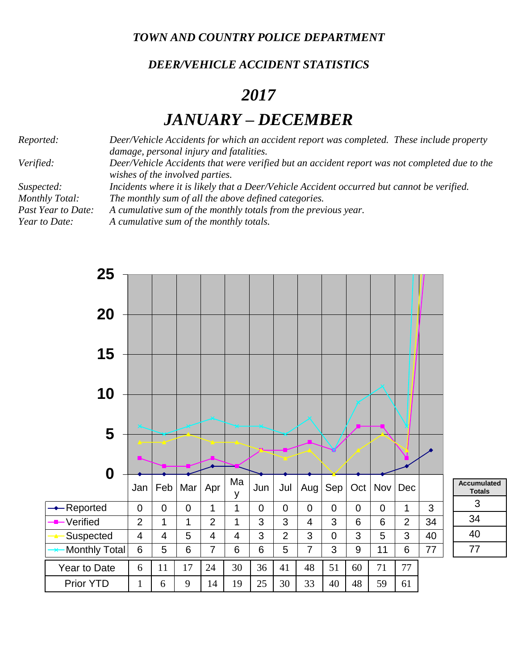*TOWN AND COUNTRY POLICE DEPARTMENT*

## *DEER/VEHICLE ACCIDENT STATISTICS*

## *2017*

## *JANUARY – DECEMBER*

*Reported: Deer/Vehicle Accidents for which an accident report was completed. These include property damage, personal injury and fatalities. Verified: Deer/Vehicle Accidents that were verified but an accident report was not completed due to the wishes of the involved parties. Suspected: Incidents where it is likely that a Deer/Vehicle Accident occurred but cannot be verified. Monthly Total: The monthly sum of all the above defined categories. Past Year to Date: A cumulative sum of the monthly totals from the previous year. Year to Date: A cumulative sum of the monthly totals.*

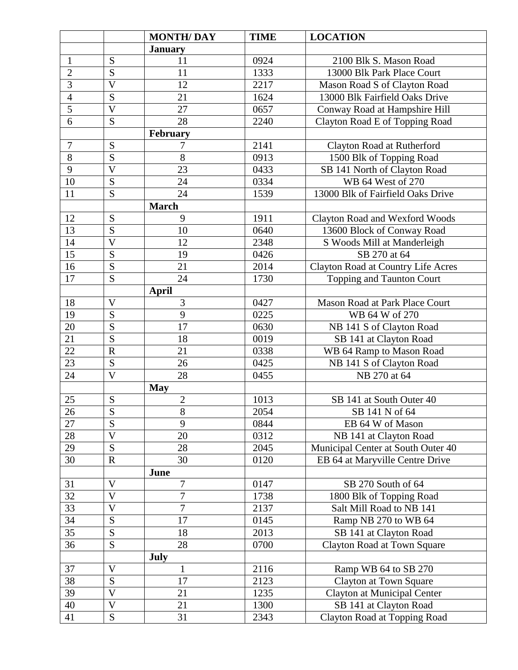|                 |                         | <b>MONTH/DAY</b> | <b>TIME</b>       | <b>LOCATION</b>                       |
|-----------------|-------------------------|------------------|-------------------|---------------------------------------|
|                 |                         | <b>January</b>   |                   |                                       |
| $\mathbf{1}$    | S                       | 11               | 0924              | 2100 Blk S. Mason Road                |
| $\overline{c}$  | S                       | 11               | 1333              | 13000 Blk Park Place Court            |
| $\overline{3}$  | $\overline{V}$          | 12               | 2217              | Mason Road S of Clayton Road          |
| $\overline{4}$  | S                       | 21               | 1624              | 13000 Blk Fairfield Oaks Drive        |
| $\overline{5}$  | $\overline{V}$          | 27               | 0657              | Conway Road at Hampshire Hill         |
| 6               | S                       | 28               | 2240              | Clayton Road E of Topping Road        |
|                 |                         | February         |                   |                                       |
| $\overline{7}$  | S                       | 7                | 2141              | Clayton Road at Rutherford            |
| $\overline{8}$  | S                       | 8                | 0913              | 1500 Blk of Topping Road              |
| $\overline{9}$  | $\overline{\mathsf{V}}$ | 23               | 0433              | SB 141 North of Clayton Road          |
| 10              | S                       | 24               | 0334              | WB 64 West of 270                     |
| 11              | S                       | 24               | 1539              | 13000 Blk of Fairfield Oaks Drive     |
|                 |                         | <b>March</b>     |                   |                                       |
| 12              | S                       | 9                | 1911              | <b>Clayton Road and Wexford Woods</b> |
| 13              | S                       | 10               | 0640              | 13600 Block of Conway Road            |
| 14              | $\overline{\mathsf{V}}$ | 12               | 2348              | S Woods Mill at Manderleigh           |
| 15              | S                       | 19               | 0426              | SB 270 at 64                          |
| 16              | S                       | 21               | 2014              | Clayton Road at Country Life Acres    |
| 17              | S                       | 24               | 1730              | Topping and Taunton Court             |
|                 |                         | April            |                   |                                       |
| 18              | $\overline{V}$          | 3                | 0427              | Mason Road at Park Place Court        |
| 19              | S                       | 9                | 0225              | WB 64 W of 270                        |
| 20              | S                       | 17               | 0630              | NB 141 S of Clayton Road              |
| 21              | S                       | 18               | 0019              | SB 141 at Clayton Road                |
| 22              | $\mathbf R$             | 21               | 0338              | WB 64 Ramp to Mason Road              |
| 23              | S                       | 26               | 0425              | NB 141 S of Clayton Road              |
| 24              | $\mathbf V$             | 28               | 0455              | NB 270 at 64                          |
|                 |                         | <b>May</b>       |                   |                                       |
| 25              | S                       | $\overline{c}$   | 1013              | SB 141 at South Outer 40              |
| $\overline{26}$ | $\overline{S}$          | $\overline{8}$   | 2054              | SB 141 N of 64                        |
| 27              | $\overline{S}$          | 9                | 0844              | EB 64 W of Mason                      |
| 28              | $\overline{\mathsf{V}}$ | 20               | 0312              | NB 141 at Clayton Road                |
| 29              | S                       | 28               | 2045              | Municipal Center at South Outer 40    |
| 30              | $\mathbf R$             | 30               | 0120              | EB 64 at Maryville Centre Drive       |
|                 |                         | June             |                   |                                       |
| 31              | V                       | $\overline{7}$   | 0147              | SB 270 South of 64                    |
| $\overline{32}$ | $\overline{V}$          | $\overline{7}$   | 1738              | 1800 Blk of Topping Road              |
| 33              | $\overline{\mathsf{V}}$ | 7                | 2137              | Salt Mill Road to NB 141              |
| $\overline{34}$ | S                       | 17               | $01\overline{45}$ | Ramp NB 270 to WB 64                  |
| 35              | S                       | 18               | 2013              | SB 141 at Clayton Road                |
| 36              | S                       | 28               | 0700              | Clayton Road at Town Square           |
|                 |                         | <b>July</b>      |                   |                                       |
| 37              | $\mathbf V$             | $\mathbf{1}$     | 2116              | Ramp WB 64 to SB 270                  |
| $\overline{38}$ | S                       | $\overline{17}$  | 2123              | <b>Clayton at Town Square</b>         |
| 39              | $\overline{V}$          | 21               | 1235              | Clayton at Municipal Center           |
| 40              | V                       | 21               | 1300              | SB 141 at Clayton Road                |
| 41              | S                       | 31               | 2343              | Clayton Road at Topping Road          |